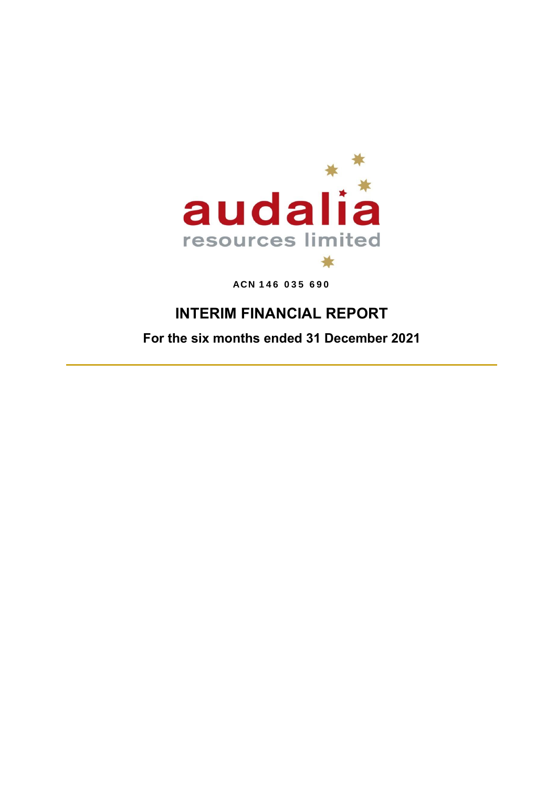

**ACN 146 035 690**

# **INTERIM FINANCIAL REPORT**

**For the six months ended 31 December 2021**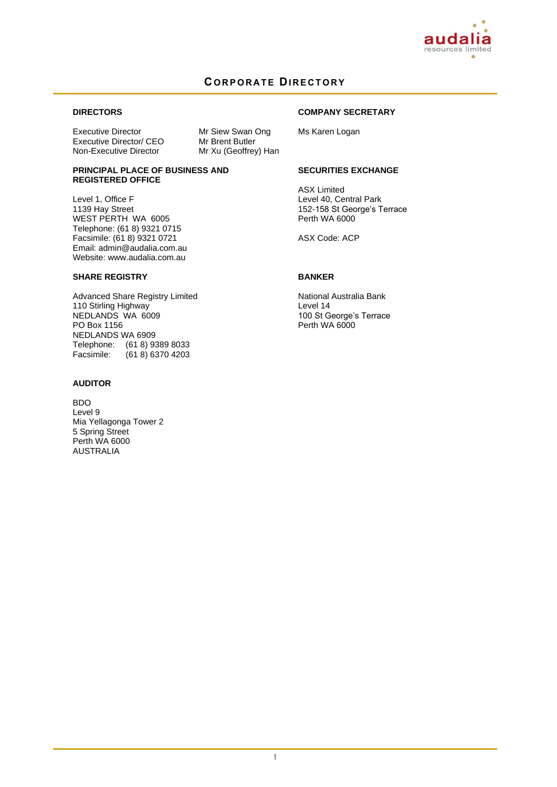

### **C O R P O R A T E DI R E C T O R Y**

### **DIRECTORS**

Executive Director Mr Siew Swan Ong<br>
Executive Director/ CEO Mr Brent Butler Executive Director/ CEO<br>Non-Executive Director

Mr Xu (Geoffrey) Han

## **COMPANY SECRETARY**

Ms Karen Logan

#### **PRINCIPAL PLACE OF BUSINESS AND REGISTERED OFFICE**

Level 1, Office F 1139 Hay Street WEST PERTH WA 6005 Telephone: (61 8) 9321 0715 Facsimile: (61 8) 9321 0721 Email: admin@audalia.com.au Website: www.audalia.com.au

### **SHARE REGISTRY**

Advanced Share Registry Limited 110 Stirling Highway NEDLANDS WA 6009 PO Box 1156 NEDLANDS WA 6909 Telephone: (61 8) 9389 8033<br>Facsimile: (61 8) 6370 4203  $(61 8) 6370 4203$ 

### **AUDITOR**

BDO Level 9 Mia Yellagonga Tower 2 5 Spring Street Perth WA 6000 AUSTRALIA

### **SECURITIES EXCHANGE**

ASX Limited Level 40, Central Park 152-158 St George's Terrace Perth WA 6000

ASX Code: ACP

### **BANKER**

National Australia Bank Level 14 100 St George's Terrace Perth WA 6000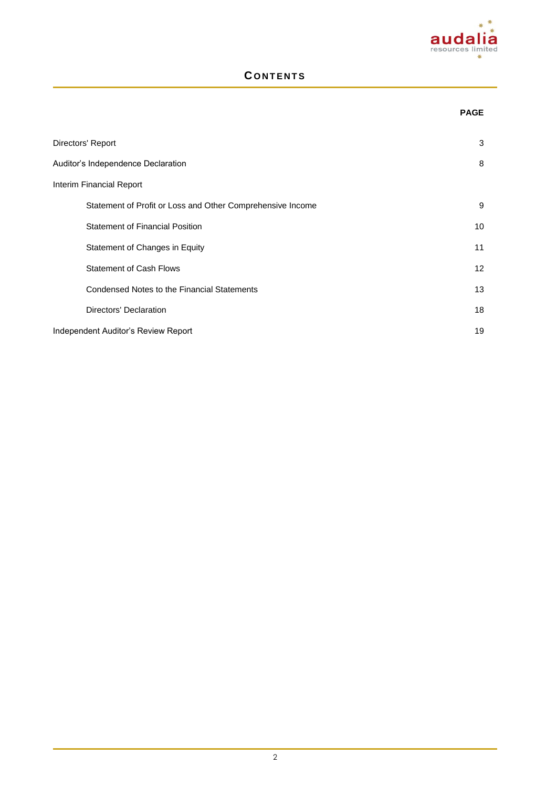

### **C O N T E N T S**

# **PAGE Directors' Report 3** Auditor's Independence Declaration 8 Interim Financial Report Statement of Profit or Loss and Other Comprehensive Income 9 Statement of Financial Position 10 Statement of Changes in Equity 11 Statement of Cash Flows 12 Condensed Notes to the Financial Statements 13 **Directors' Declaration** 18 Independent Auditor's Review Report 19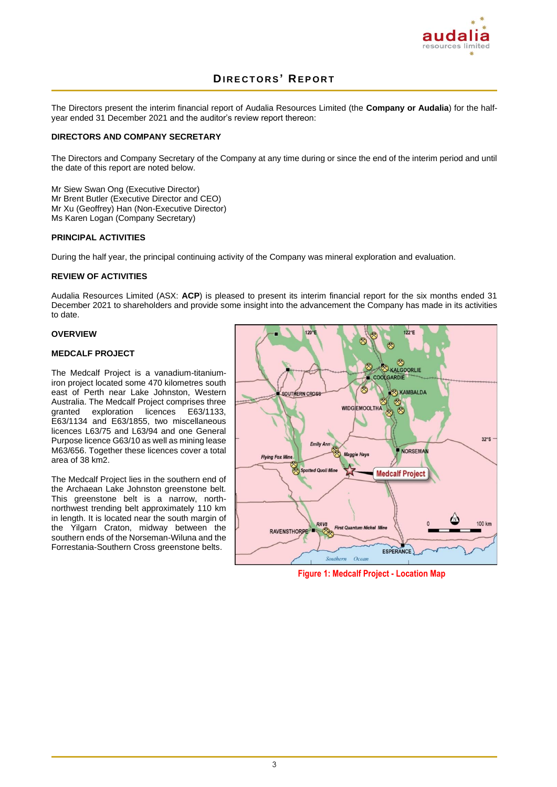

The Directors present the interim financial report of Audalia Resources Limited (the **Company or Audalia**) for the halfyear ended 31 December 2021 and the auditor's review report thereon:

### **DIRECTORS AND COMPANY SECRETARY**

The Directors and Company Secretary of the Company at any time during or since the end of the interim period and until the date of this report are noted below.

Mr Siew Swan Ong (Executive Director) Mr Brent Butler (Executive Director and CEO) Mr Xu (Geoffrey) Han (Non-Executive Director) Ms Karen Logan (Company Secretary)

### **PRINCIPAL ACTIVITIES**

During the half year, the principal continuing activity of the Company was mineral exploration and evaluation.

### **REVIEW OF ACTIVITIES**

Audalia Resources Limited (ASX: **ACP**) is pleased to present its interim financial report for the six months ended 31 December 2021 to shareholders and provide some insight into the advancement the Company has made in its activities to date.

### **OVERVIEW**

#### **MEDCALF PROJECT**

The Medcalf Project is a vanadium-titaniumiron project located some 470 kilometres south east of Perth near Lake Johnston, Western Australia. The Medcalf Project comprises three<br>granted exploration licences E63/1133, granted exploration licences E63/1134 and E63/1855, two miscellaneous licences L63/75 and L63/94 and one General Purpose licence G63/10 as well as mining lease M63/656. Together these licences cover a total area of 38 km2.

The Medcalf Project lies in the southern end of the Archaean Lake Johnston greenstone belt. This greenstone belt is a narrow, northnorthwest trending belt approximately 110 km in length. It is located near the south margin of the Yilgarn Craton, midway between the southern ends of the Norseman-Wiluna and the Forrestania-Southern Cross greenstone belts.



**Figure 1: Medcalf Project - Location Map**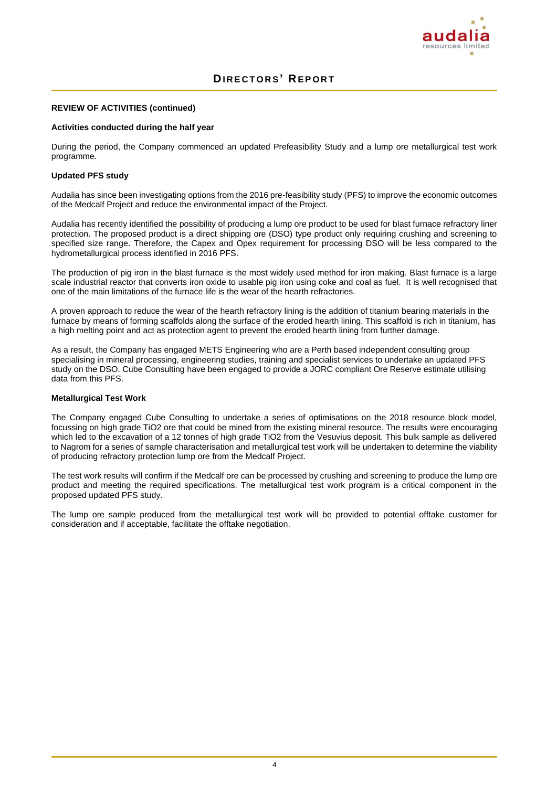

### **REVIEW OF ACTIVITIES (continued)**

#### **Activities conducted during the half year**

During the period, the Company commenced an updated Prefeasibility Study and a lump ore metallurgical test work programme.

#### **Updated PFS study**

Audalia has since been investigating options from the 2016 pre-feasibility study (PFS) to improve the economic outcomes of the Medcalf Project and reduce the environmental impact of the Project.

Audalia has recently identified the possibility of producing a lump ore product to be used for blast furnace refractory liner protection. The proposed product is a direct shipping ore (DSO) type product only requiring crushing and screening to specified size range. Therefore, the Capex and Opex requirement for processing DSO will be less compared to the hydrometallurgical process identified in 2016 PFS.

The production of pig iron in the blast furnace is the most widely used method for iron making. Blast furnace is a large scale industrial reactor that converts iron oxide to usable pig iron using coke and coal as fuel. It is well recognised that one of the main limitations of the furnace life is the wear of the hearth refractories.

A proven approach to reduce the wear of the hearth refractory lining is the addition of titanium bearing materials in the furnace by means of forming scaffolds along the surface of the eroded hearth lining. This scaffold is rich in titanium, has a high melting point and act as protection agent to prevent the eroded hearth lining from further damage.

As a result, the Company has engaged METS Engineering who are a Perth based independent consulting group specialising in mineral processing, engineering studies, training and specialist services to undertake an updated PFS study on the DSO. Cube Consulting have been engaged to provide a JORC compliant Ore Reserve estimate utilising data from this PFS.

#### **Metallurgical Test Work**

The Company engaged Cube Consulting to undertake a series of optimisations on the 2018 resource block model, focussing on high grade TiO2 ore that could be mined from the existing mineral resource. The results were encouraging which led to the excavation of a 12 tonnes of high grade TiO2 from the Vesuvius deposit. This bulk sample as delivered to Nagrom for a series of sample characterisation and metallurgical test work will be undertaken to determine the viability of producing refractory protection lump ore from the Medcalf Project.

The test work results will confirm if the Medcalf ore can be processed by crushing and screening to produce the lump ore product and meeting the required specifications. The metallurgical test work program is a critical component in the proposed updated PFS study.

The lump ore sample produced from the metallurgical test work will be provided to potential offtake customer for consideration and if acceptable, facilitate the offtake negotiation.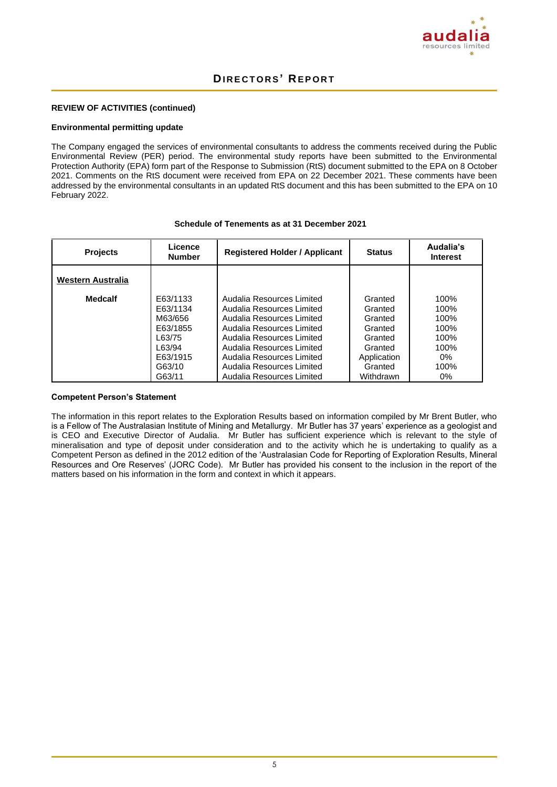

### **REVIEW OF ACTIVITIES (continued)**

#### **Environmental permitting update**

The Company engaged the services of environmental consultants to address the comments received during the Public Environmental Review (PER) period. The environmental study reports have been submitted to the Environmental Protection Authority (EPA) form part of the Response to Submission (RtS) document submitted to the EPA on 8 October 2021. Comments on the RtS document were received from EPA on 22 December 2021. These comments have been addressed by the environmental consultants in an updated RtS document and this has been submitted to the EPA on 10 February 2022.

#### **Schedule of Tenements as at 31 December 2021**

| <b>Projects</b>   | Licence<br><b>Number</b>                                                                         | <b>Registered Holder / Applicant</b>                                                                                                                                                                                                                              | <b>Status</b>                                                                                         | Audalia's<br><b>Interest</b>                                           |
|-------------------|--------------------------------------------------------------------------------------------------|-------------------------------------------------------------------------------------------------------------------------------------------------------------------------------------------------------------------------------------------------------------------|-------------------------------------------------------------------------------------------------------|------------------------------------------------------------------------|
| Western Australia |                                                                                                  |                                                                                                                                                                                                                                                                   |                                                                                                       |                                                                        |
| <b>Medcalf</b>    | E63/1133<br>E63/1134<br>M63/656<br>E63/1855<br>163/75<br>1.63/94<br>E63/1915<br>G63/10<br>G63/11 | Audalia Resources Limited<br>Audalia Resources Limited<br>Audalia Resources Limited<br>Audalia Resources Limited<br>Audalia Resources Limited<br>Audalia Resources Limited<br>Audalia Resources Limited<br>Audalia Resources Limited<br>Audalia Resources Limited | Granted<br>Granted<br>Granted<br>Granted<br>Granted<br>Granted<br>Application<br>Granted<br>Withdrawn | 100%<br>100%<br>100%<br>100%<br>100%<br>100%<br>$0\%$<br>100%<br>$0\%$ |

### **Competent Person's Statement**

The information in this report relates to the Exploration Results based on information compiled by Mr Brent Butler, who is a Fellow of The Australasian Institute of Mining and Metallurgy. Mr Butler has 37 years' experience as a geologist and is CEO and Executive Director of Audalia. Mr Butler has sufficient experience which is relevant to the style of mineralisation and type of deposit under consideration and to the activity which he is undertaking to qualify as a Competent Person as defined in the 2012 edition of the 'Australasian Code for Reporting of Exploration Results, Mineral Resources and Ore Reserves' (JORC Code). Mr Butler has provided his consent to the inclusion in the report of the matters based on his information in the form and context in which it appears.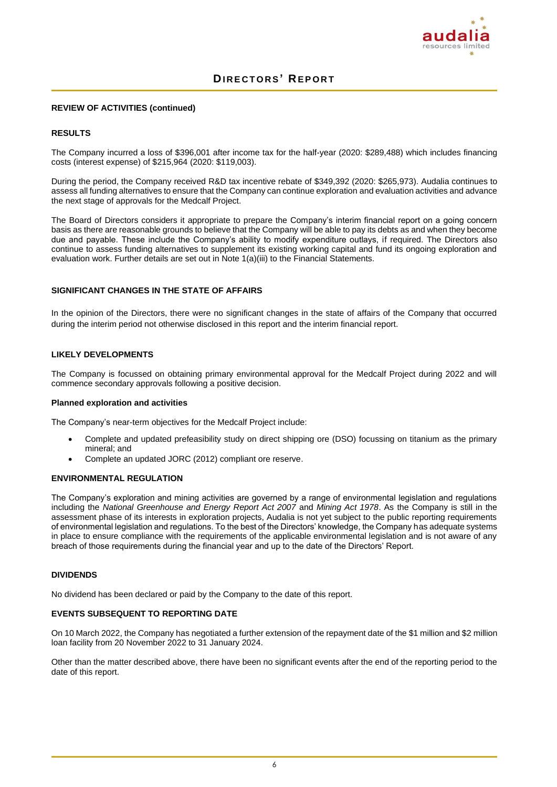

#### **REVIEW OF ACTIVITIES (continued)**

### **RESULTS**

The Company incurred a loss of \$396,001 after income tax for the half-year (2020: \$289,488) which includes financing costs (interest expense) of \$215,964 (2020: \$119,003).

During the period, the Company received R&D tax incentive rebate of \$349,392 (2020: \$265,973). Audalia continues to assess all funding alternatives to ensure that the Company can continue exploration and evaluation activities and advance the next stage of approvals for the Medcalf Project.

The Board of Directors considers it appropriate to prepare the Company's interim financial report on a going concern basis as there are reasonable grounds to believe that the Company will be able to pay its debts as and when they become due and payable. These include the Company's ability to modify expenditure outlays, if required. The Directors also continue to assess funding alternatives to supplement its existing working capital and fund its ongoing exploration and evaluation work. Further details are set out in Note 1(a)(iii) to the Financial Statements.

#### **SIGNIFICANT CHANGES IN THE STATE OF AFFAIRS**

In the opinion of the Directors, there were no significant changes in the state of affairs of the Company that occurred during the interim period not otherwise disclosed in this report and the interim financial report.

#### **LIKELY DEVELOPMENTS**

The Company is focussed on obtaining primary environmental approval for the Medcalf Project during 2022 and will commence secondary approvals following a positive decision.

#### **Planned exploration and activities**

The Company's near-term objectives for the Medcalf Project include:

- Complete and updated prefeasibility study on direct shipping ore (DSO) focussing on titanium as the primary mineral; and
- Complete an updated JORC (2012) compliant ore reserve.

### **ENVIRONMENTAL REGULATION**

The Company's exploration and mining activities are governed by a range of environmental legislation and regulations including the *National Greenhouse and Energy Report Act 2007* and *Mining Act 1978*. As the Company is still in the assessment phase of its interests in exploration projects, Audalia is not yet subject to the public reporting requirements of environmental legislation and regulations. To the best of the Directors' knowledge, the Company has adequate systems in place to ensure compliance with the requirements of the applicable environmental legislation and is not aware of any breach of those requirements during the financial year and up to the date of the Directors' Report.

#### **DIVIDENDS**

No dividend has been declared or paid by the Company to the date of this report.

#### **EVENTS SUBSEQUENT TO REPORTING DATE**

On 10 March 2022, the Company has negotiated a further extension of the repayment date of the \$1 million and \$2 million loan facility from 20 November 2022 to 31 January 2024.

Other than the matter described above, there have been no significant events after the end of the reporting period to the date of this report.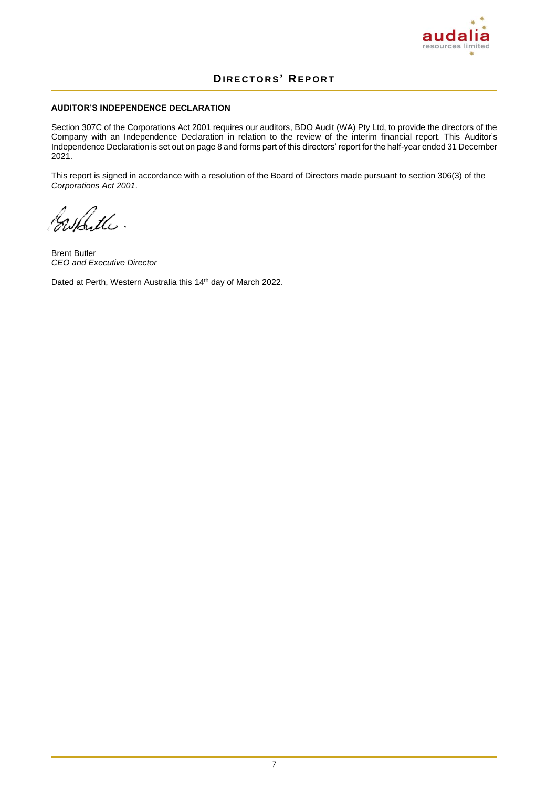

### **AUDITOR'S INDEPENDENCE DECLARATION**

Section 307C of the Corporations Act 2001 requires our auditors, BDO Audit (WA) Pty Ltd, to provide the directors of the Company with an Independence Declaration in relation to the review of the interim financial report. This Auditor's Independence Declaration is set out on page 8 and forms part of this directors' report for the half-year ended 31 December 2021.

This report is signed in accordance with a resolution of the Board of Directors made pursuant to section 306(3) of the *Corporations Act 2001*.

Cashitte.

Brent Butler *CEO and Executive Director*

Dated at Perth, Western Australia this 14<sup>th</sup> day of March 2022.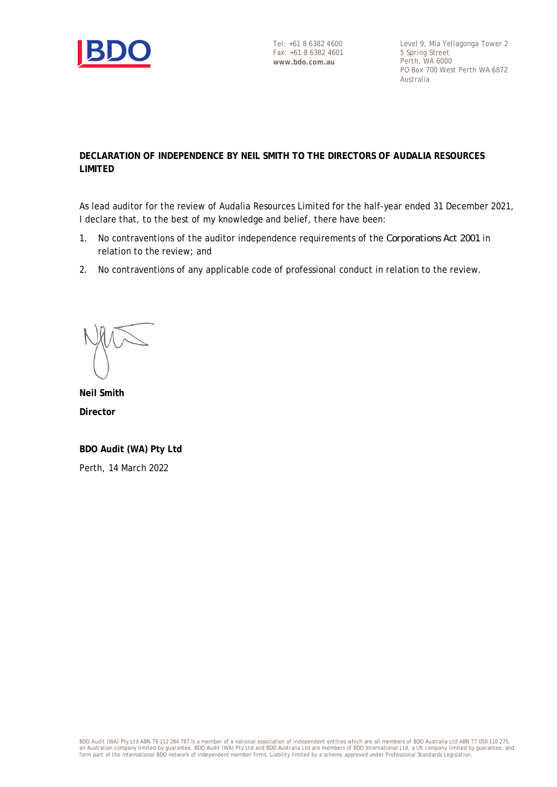

Level 9, Mia Yellagonga Tower 2 5 Spring Street Perth, WA 6000 PO Box 700 West Perth WA 6872 Australia

### **DECLARATION OF INDEPENDENCE BY NEIL SMITH TO THE DIRECTORS OF AUDALIA RESOURCES LIMITED**

As lead auditor for the review of Audalia Resources Limited for the half-year ended 31 December 2021, I declare that, to the best of my knowledge and belief, there have been:

- 1. No contraventions of the auditor independence requirements of the *Corporations Act 2001* in relation to the review; and
- 2. No contraventions of any applicable code of professional conduct in relation to the review.

**Neil Smith Director**

**BDO Audit (WA) Pty Ltd** Perth, 14 March 2022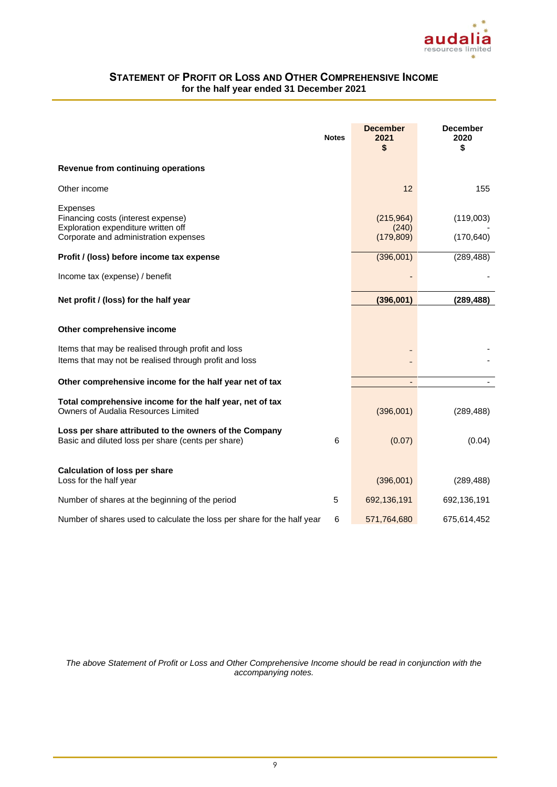

### **STATEMENT OF PROFIT OR LOSS AND OTHER COMPREHENSIVE INCOME for the half year ended 31 December 2021**

|                                                                                                                                            | <b>Notes</b> | <b>December</b><br>2021<br>S     | <b>December</b><br>2020<br>\$ |
|--------------------------------------------------------------------------------------------------------------------------------------------|--------------|----------------------------------|-------------------------------|
| Revenue from continuing operations                                                                                                         |              |                                  |                               |
| Other income                                                                                                                               |              | 12                               | 155                           |
| <b>Expenses</b><br>Financing costs (interest expense)<br>Exploration expenditure written off<br>Corporate and administration expenses      |              | (215,964)<br>(240)<br>(179, 809) | (119,003)<br>(170, 640)       |
| Profit / (loss) before income tax expense                                                                                                  |              | (396,001)                        | (289, 488)                    |
| Income tax (expense) / benefit                                                                                                             |              |                                  |                               |
| Net profit / (loss) for the half year                                                                                                      |              | (396,001)                        | (289, 488)                    |
| Other comprehensive income<br>Items that may be realised through profit and loss<br>Items that may not be realised through profit and loss |              |                                  |                               |
| Other comprehensive income for the half year net of tax                                                                                    |              | $\overline{\phantom{a}}$         |                               |
| Total comprehensive income for the half year, net of tax<br><b>Owners of Audalia Resources Limited</b>                                     |              | (396,001)                        | (289, 488)                    |
| Loss per share attributed to the owners of the Company<br>Basic and diluted loss per share (cents per share)                               | 6            | (0.07)                           | (0.04)                        |
| <b>Calculation of loss per share</b><br>Loss for the half year                                                                             |              | (396,001)                        | (289, 488)                    |
| Number of shares at the beginning of the period                                                                                            | 5            | 692,136,191                      | 692,136,191                   |
| Number of shares used to calculate the loss per share for the half year                                                                    | 6            | 571,764,680                      | 675,614,452                   |

*The above Statement of Profit or Loss and Other Comprehensive Income should be read in conjunction with the accompanying notes.*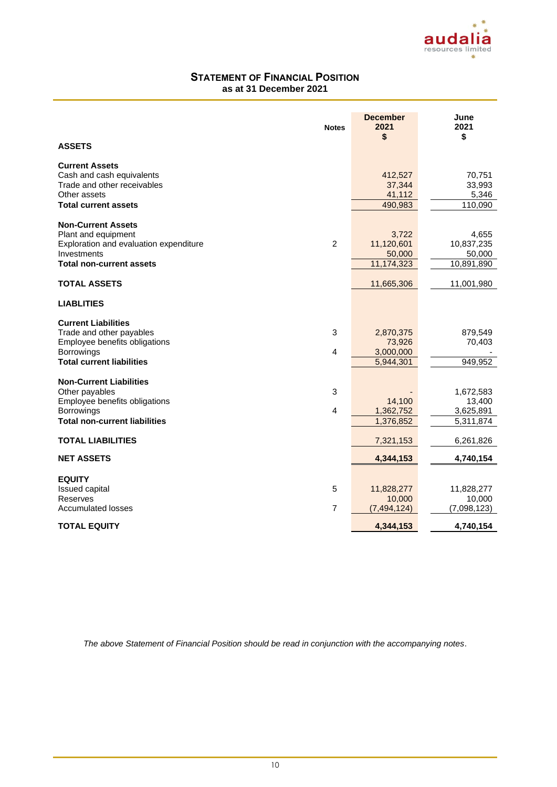

### **STATEMENT OF FINANCIAL POSITION as at 31 December 2021**

|                                                                                                                                              | <b>Notes</b>        | <b>December</b><br>2021<br>\$                 | June<br>2021<br>\$                            |
|----------------------------------------------------------------------------------------------------------------------------------------------|---------------------|-----------------------------------------------|-----------------------------------------------|
| <b>ASSETS</b>                                                                                                                                |                     |                                               |                                               |
| <b>Current Assets</b><br>Cash and cash equivalents<br>Trade and other receivables<br>Other assets<br><b>Total current assets</b>             |                     | 412,527<br>37,344<br>41,112<br>490,983        | 70,751<br>33,993<br>5,346<br>110,090          |
| <b>Non-Current Assets</b><br>Plant and equipment<br>Exploration and evaluation expenditure<br>Investments<br><b>Total non-current assets</b> | $\overline{2}$      | 3,722<br>11,120,601<br>50,000<br>11,174,323   | 4,655<br>10,837,235<br>50,000<br>10,891,890   |
| <b>TOTAL ASSETS</b>                                                                                                                          |                     | 11,665,306                                    | 11,001,980                                    |
| <b>LIABLITIES</b>                                                                                                                            |                     |                                               |                                               |
| <b>Current Liabilities</b><br>Trade and other payables<br>Employee benefits obligations<br>Borrowings<br><b>Total current liabilities</b>    | 3<br>4              | 2,870,375<br>73,926<br>3,000,000<br>5,944,301 | 879,549<br>70,403<br>949,952                  |
| <b>Non-Current Liabilities</b><br>Other payables<br>Employee benefits obligations<br>Borrowings<br><b>Total non-current liabilities</b>      | 3<br>4              | 14,100<br>1,362,752<br>1,376,852              | 1,672,583<br>13,400<br>3,625,891<br>5,311,874 |
| <b>TOTAL LIABILITIES</b>                                                                                                                     |                     | 7,321,153                                     | 6,261,826                                     |
| <b>NET ASSETS</b>                                                                                                                            |                     | 4,344,153                                     | 4,740,154                                     |
| <b>EQUITY</b><br><b>Issued capital</b><br>Reserves<br><b>Accumulated losses</b>                                                              | 5<br>$\overline{7}$ | 11,828,277<br>10,000<br>(7, 494, 124)         | 11,828,277<br>10,000<br>(7,098,123)           |
| <b>TOTAL EQUITY</b>                                                                                                                          |                     | 4,344,153                                     | 4,740,154                                     |

*The above Statement of Financial Position should be read in conjunction with the accompanying notes*.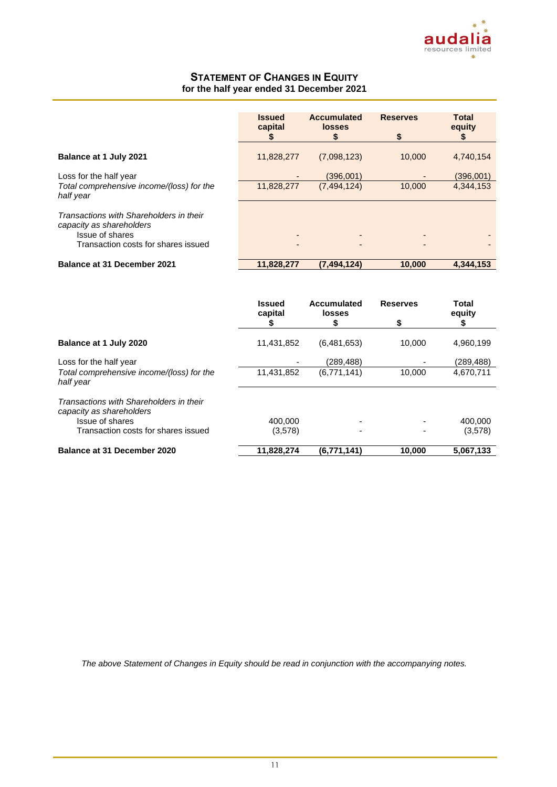

### **STATEMENT OF CHANGES IN EQUITY for the half year ended 31 December 2021**

|                                                                                                                               | <b>Issued</b><br>capital<br>\$ | <b>Accumulated</b><br>losses<br>S | <b>Reserves</b><br>\$ | <b>Total</b><br>equity |
|-------------------------------------------------------------------------------------------------------------------------------|--------------------------------|-----------------------------------|-----------------------|------------------------|
| Balance at 1 July 2021                                                                                                        | 11,828,277                     | (7,098,123)                       | 10,000                | 4,740,154              |
| Loss for the half year<br>Total comprehensive income/(loss) for the<br>half year                                              | 11,828,277                     | (396.001)<br>(7,494,124)          | 10,000                | (396,001)<br>4,344,153 |
| Transactions with Shareholders in their<br>capacity as shareholders<br>Issue of shares<br>Transaction costs for shares issued |                                |                                   |                       |                        |
| <b>Balance at 31 December 2021</b>                                                                                            | 11,828,277                     | (7, 494, 124)                     | 10,000                | 4.344.153              |

|                                                                     | <b>Issued</b><br>capital | Accumulated<br>losses | <b>Reserves</b> | Total<br>equity |
|---------------------------------------------------------------------|--------------------------|-----------------------|-----------------|-----------------|
|                                                                     | P                        | S                     | \$              |                 |
| Balance at 1 July 2020                                              | 11,431,852               | (6,481,653)           | 10.000          | 4,960,199       |
| Loss for the half year                                              |                          | (289, 488)            |                 | (289, 488)      |
| Total comprehensive income/(loss) for the<br>half year              | 11,431,852               | (6,771,141)           | 10.000          | 4,670,711       |
| Transactions with Shareholders in their<br>capacity as shareholders |                          |                       |                 |                 |
| Issue of shares                                                     | 400.000                  |                       |                 | 400.000         |
| Transaction costs for shares issued                                 | (3,578)                  |                       |                 | (3,578)         |
| Balance at 31 December 2020                                         | 11,828,274               | (6,771,141)           | 10.000          | 5.067.133       |

*The above Statement of Changes in Equity should be read in conjunction with the accompanying notes.*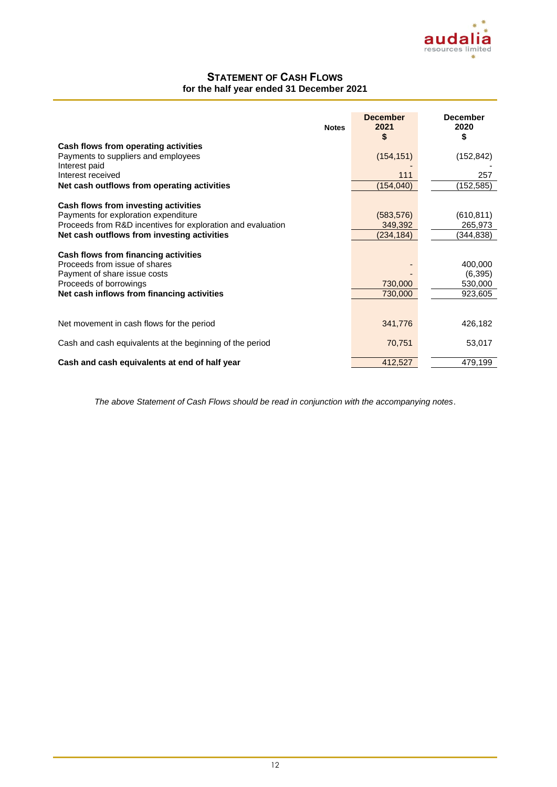### **STATEMENT OF CASH FLOWS for the half year ended 31 December 2021**

| <b>Notes</b>                                                                                                                                                                  | <b>December</b><br>2021<br>\$ | <b>December</b><br>2020<br>\$             |
|-------------------------------------------------------------------------------------------------------------------------------------------------------------------------------|-------------------------------|-------------------------------------------|
| Cash flows from operating activities                                                                                                                                          |                               |                                           |
| Payments to suppliers and employees                                                                                                                                           | (154, 151)                    | (152, 842)                                |
| Interest paid                                                                                                                                                                 |                               |                                           |
| Interest received                                                                                                                                                             | 111                           | 257                                       |
| Net cash outflows from operating activities                                                                                                                                   | (154, 040)                    | (152, 585)                                |
| Cash flows from investing activities                                                                                                                                          |                               |                                           |
| Payments for exploration expenditure                                                                                                                                          | (583, 576)                    | (610, 811)                                |
| Proceeds from R&D incentives for exploration and evaluation                                                                                                                   | 349,392                       | 265,973                                   |
| Net cash outflows from investing activities                                                                                                                                   | (234,184)                     | (344,838)                                 |
| Cash flows from financing activities<br>Proceeds from issue of shares<br>Payment of share issue costs<br>Proceeds of borrowings<br>Net cash inflows from financing activities | 730,000<br>730,000            | 400,000<br>(6, 395)<br>530,000<br>923,605 |
| Net movement in cash flows for the period                                                                                                                                     | 341,776                       | 426,182                                   |
|                                                                                                                                                                               |                               |                                           |
| Cash and cash equivalents at the beginning of the period                                                                                                                      | 70,751                        | 53,017                                    |
| Cash and cash equivalents at end of half year                                                                                                                                 | 412,527                       | 479,199                                   |

*The above Statement of Cash Flows should be read in conjunction with the accompanying notes*.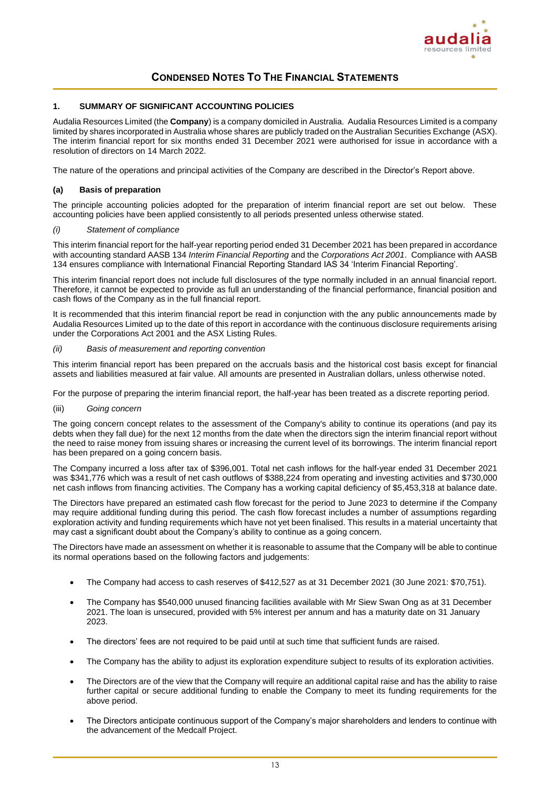

### **1. SUMMARY OF SIGNIFICANT ACCOUNTING POLICIES**

Audalia Resources Limited (the **Company**) is a company domiciled in Australia. Audalia Resources Limited is a company limited by shares incorporated in Australia whose shares are publicly traded on the Australian Securities Exchange (ASX). The interim financial report for six months ended 31 December 2021 were authorised for issue in accordance with a resolution of directors on 14 March 2022.

The nature of the operations and principal activities of the Company are described in the Director's Report above.

### **(a) Basis of preparation**

The principle accounting policies adopted for the preparation of interim financial report are set out below. These accounting policies have been applied consistently to all periods presented unless otherwise stated.

#### *(i) Statement of compliance*

This interim financial report for the half-year reporting period ended 31 December 2021 has been prepared in accordance with accounting standard AASB 134 *Interim Financial Reporting* and the *Corporations Act 2001*. Compliance with AASB 134 ensures compliance with International Financial Reporting Standard IAS 34 'Interim Financial Reporting'.

This interim financial report does not include full disclosures of the type normally included in an annual financial report. Therefore, it cannot be expected to provide as full an understanding of the financial performance, financial position and cash flows of the Company as in the full financial report.

It is recommended that this interim financial report be read in conjunction with the any public announcements made by Audalia Resources Limited up to the date of this report in accordance with the continuous disclosure requirements arising under the Corporations Act 2001 and the ASX Listing Rules.

### *(ii) Basis of measurement and reporting convention*

This interim financial report has been prepared on the accruals basis and the historical cost basis except for financial assets and liabilities measured at fair value. All amounts are presented in Australian dollars, unless otherwise noted.

For the purpose of preparing the interim financial report, the half-year has been treated as a discrete reporting period.

(iii) *Going concern*

The going concern concept relates to the assessment of the Company's ability to continue its operations (and pay its debts when they fall due) for the next 12 months from the date when the directors sign the interim financial report without the need to raise money from issuing shares or increasing the current level of its borrowings. The interim financial report has been prepared on a going concern basis.

The Company incurred a loss after tax of \$396,001. Total net cash inflows for the half-year ended 31 December 2021 was \$341,776 which was a result of net cash outflows of \$388,224 from operating and investing activities and \$730,000 net cash inflows from financing activities. The Company has a working capital deficiency of \$5,453,318 at balance date.

The Directors have prepared an estimated cash flow forecast for the period to June 2023 to determine if the Company may require additional funding during this period. The cash flow forecast includes a number of assumptions regarding exploration activity and funding requirements which have not yet been finalised. This results in a material uncertainty that may cast a significant doubt about the Company's ability to continue as a going concern.

The Directors have made an assessment on whether it is reasonable to assume that the Company will be able to continue its normal operations based on the following factors and judgements:

- The Company had access to cash reserves of \$412,527 as at 31 December 2021 (30 June 2021: \$70,751).
- The Company has \$540,000 unused financing facilities available with Mr Siew Swan Ong as at 31 December 2021. The loan is unsecured, provided with 5% interest per annum and has a maturity date on 31 January 2023.
- The directors' fees are not required to be paid until at such time that sufficient funds are raised.
- The Company has the ability to adjust its exploration expenditure subject to results of its exploration activities.
- The Directors are of the view that the Company will require an additional capital raise and has the ability to raise further capital or secure additional funding to enable the Company to meet its funding requirements for the above period.
- The Directors anticipate continuous support of the Company's major shareholders and lenders to continue with the advancement of the Medcalf Project.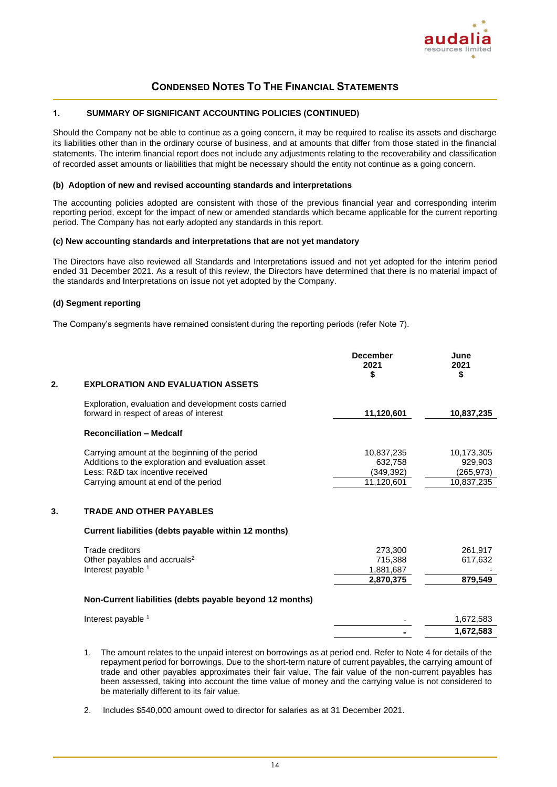

### **1. SUMMARY OF SIGNIFICANT ACCOUNTING POLICIES (CONTINUED)**

Should the Company not be able to continue as a going concern, it may be required to realise its assets and discharge its liabilities other than in the ordinary course of business, and at amounts that differ from those stated in the financial statements. The interim financial report does not include any adjustments relating to the recoverability and classification of recorded asset amounts or liabilities that might be necessary should the entity not continue as a going concern.

### **(b) Adoption of new and revised accounting standards and interpretations**

The accounting policies adopted are consistent with those of the previous financial year and corresponding interim reporting period, except for the impact of new or amended standards which became applicable for the current reporting period. The Company has not early adopted any standards in this report.

### **(c) New accounting standards and interpretations that are not yet mandatory**

The Directors have also reviewed all Standards and Interpretations issued and not yet adopted for the interim period ended 31 December 2021. As a result of this review, the Directors have determined that there is no material impact of the standards and Interpretations on issue not yet adopted by the Company.

### **(d) Segment reporting**

The Company's segments have remained consistent during the reporting periods (refer Note 7).

|    |                                                                                                                                                                                 | 2021<br>\$                                        | 2021<br>\$                                        |
|----|---------------------------------------------------------------------------------------------------------------------------------------------------------------------------------|---------------------------------------------------|---------------------------------------------------|
| 2. | <b>EXPLORATION AND EVALUATION ASSETS</b>                                                                                                                                        |                                                   |                                                   |
|    | Exploration, evaluation and development costs carried<br>forward in respect of areas of interest                                                                                | 11,120,601                                        | 10,837,235                                        |
|    | <b>Reconciliation - Medcalf</b>                                                                                                                                                 |                                                   |                                                   |
|    | Carrying amount at the beginning of the period<br>Additions to the exploration and evaluation asset<br>Less: R&D tax incentive received<br>Carrying amount at end of the period | 10,837,235<br>632,758<br>(349, 392)<br>11,120,601 | 10,173,305<br>929,903<br>(265, 973)<br>10,837,235 |
| 3. | <b>TRADE AND OTHER PAYABLES</b>                                                                                                                                                 |                                                   |                                                   |
|    | Current liabilities (debts payable within 12 months)                                                                                                                            |                                                   |                                                   |
|    | Trade creditors<br>Other payables and accruals <sup>2</sup><br>Interest payable 1                                                                                               | 273,300<br>715,388<br>1,881,687<br>2,870,375      | 261,917<br>617,632<br>879,549                     |
|    | Non-Current liabilities (debts payable beyond 12 months)                                                                                                                        |                                                   |                                                   |
|    | Interest payable 1                                                                                                                                                              |                                                   | 1,672,583                                         |
|    |                                                                                                                                                                                 |                                                   | 1,672,583                                         |

- 1. The amount relates to the unpaid interest on borrowings as at period end. Refer to Note 4 for details of the repayment period for borrowings. Due to the short-term nature of current payables, the carrying amount of trade and other payables approximates their fair value. The fair value of the non-current payables has been assessed, taking into account the time value of money and the carrying value is not considered to be materially different to its fair value.
- 2. Includes \$540,000 amount owed to director for salaries as at 31 December 2021.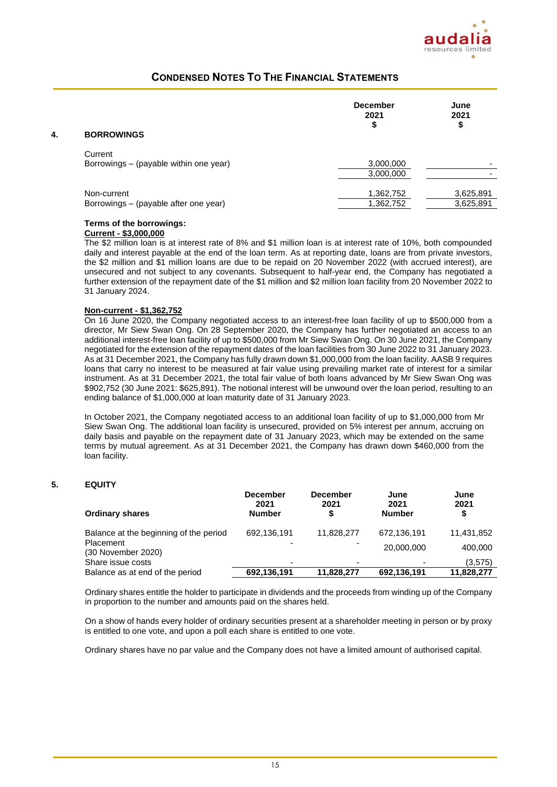

| 4. | <b>BORROWINGS</b>                                    | <b>December</b><br>2021<br>\$ | June<br>2021<br>\$     |
|----|------------------------------------------------------|-------------------------------|------------------------|
|    | Current<br>Borrowings - (payable within one year)    | 3,000,000<br>3,000,000        | -                      |
|    | Non-current<br>Borrowings - (payable after one year) | 1,362,752<br>1,362,752        | 3,625,891<br>3,625,891 |

### **Terms of the borrowings:**

### **Current - \$3,000,000**

The \$2 million loan is at interest rate of 8% and \$1 million loan is at interest rate of 10%, both compounded daily and interest payable at the end of the loan term. As at reporting date, loans are from private investors, the \$2 million and \$1 million loans are due to be repaid on 20 November 2022 (with accrued interest), are unsecured and not subject to any covenants. Subsequent to half-year end, the Company has negotiated a further extension of the repayment date of the \$1 million and \$2 million loan facility from 20 November 2022 to 31 January 2024.

### **Non-current - \$1,362,752**

On 16 June 2020, the Company negotiated access to an interest-free loan facility of up to \$500,000 from a director, Mr Siew Swan Ong. On 28 September 2020, the Company has further negotiated an access to an additional interest-free loan facility of up to \$500,000 from Mr Siew Swan Ong. On 30 June 2021, the Company negotiated for the extension of the repayment dates of the loan facilities from 30 June 2022 to 31 January 2023. As at 31 December 2021, the Company has fully drawn down \$1,000,000 from the loan facility. AASB 9 requires loans that carry no interest to be measured at fair value using prevailing market rate of interest for a similar instrument. As at 31 December 2021, the total fair value of both loans advanced by Mr Siew Swan Ong was \$902,752 (30 June 2021: \$625,891). The notional interest will be unwound over the loan period, resulting to an ending balance of \$1,000,000 at loan maturity date of 31 January 2023.

In October 2021, the Company negotiated access to an additional loan facility of up to \$1,000,000 from Mr Siew Swan Ong. The additional loan facility is unsecured, provided on 5% interest per annum, accruing on daily basis and payable on the repayment date of 31 January 2023, which may be extended on the same terms by mutual agreement. As at 31 December 2021, the Company has drawn down \$460,000 from the loan facility.

### **5. EQUITY**

| <b>Ordinary shares</b>                 | <b>December</b><br>2021<br><b>Number</b> | <b>December</b><br>2021<br>S | June<br>2021<br><b>Number</b> | June<br>2021<br>\$ |
|----------------------------------------|------------------------------------------|------------------------------|-------------------------------|--------------------|
| Balance at the beginning of the period | 692,136,191                              | 11,828,277                   | 672,136,191                   | 11,431,852         |
| Placement<br>(30 November 2020)        |                                          |                              | 20,000,000                    | 400,000            |
| Share issue costs                      |                                          |                              |                               | (3,575)            |
| Balance as at end of the period        | 692,136,191                              | 11.828.277                   | 692,136,191                   | 11.828.277         |

Ordinary shares entitle the holder to participate in dividends and the proceeds from winding up of the Company in proportion to the number and amounts paid on the shares held.

On a show of hands every holder of ordinary securities present at a shareholder meeting in person or by proxy is entitled to one vote, and upon a poll each share is entitled to one vote.

Ordinary shares have no par value and the Company does not have a limited amount of authorised capital.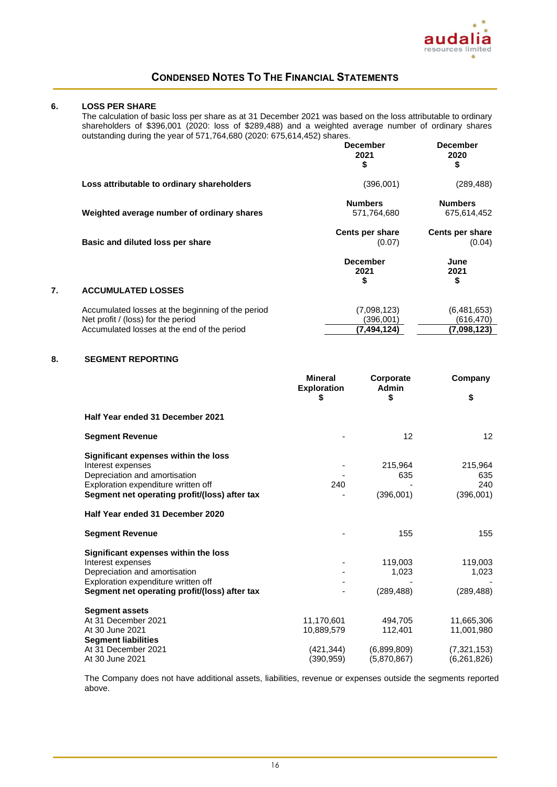

### **6. LOSS PER SHARE**

The calculation of basic loss per share as at 31 December 2021 was based on the loss attributable to ordinary shareholders of \$396,001 (2020: loss of \$289,488) and a weighted average number of ordinary shares outstanding during the year of 571,764,680 (2020: 675,614,452) shares.

|    |                                                                                         | <b>December</b><br>2021<br>\$ | <b>December</b><br>2020<br>\$ |
|----|-----------------------------------------------------------------------------------------|-------------------------------|-------------------------------|
|    | Loss attributable to ordinary shareholders                                              | (396,001)                     | (289, 488)                    |
|    | Weighted average number of ordinary shares                                              | <b>Numbers</b><br>571,764,680 | <b>Numbers</b><br>675,614,452 |
|    | Basic and diluted loss per share                                                        | Cents per share<br>(0.07)     | Cents per share<br>(0.04)     |
|    |                                                                                         | <b>December</b><br>2021<br>\$ | June<br>2021<br>\$            |
| 7. | <b>ACCUMULATED LOSSES</b>                                                               |                               |                               |
|    | Accumulated losses at the beginning of the period<br>Net profit / (loss) for the period | (7.098, 123)<br>(396,001)     | (6,481,653)<br>(616, 470)     |
|    | Accumulated losses at the end of the period                                             | (7,494,124)                   | (7,098,123)                   |

### **8. SEGMENT REPORTING**

|                                               | <b>Mineral</b><br><b>Exploration</b> | Corporate<br>Admin | Company       |
|-----------------------------------------------|--------------------------------------|--------------------|---------------|
|                                               | \$                                   | \$                 | \$            |
| Half Year ended 31 December 2021              |                                      |                    |               |
| <b>Segment Revenue</b>                        |                                      | 12                 | 12            |
| Significant expenses within the loss          |                                      |                    |               |
| Interest expenses                             |                                      | 215,964            | 215,964       |
| Depreciation and amortisation                 |                                      | 635                | 635           |
| Exploration expenditure written off           | 240                                  |                    | 240           |
| Segment net operating profit/(loss) after tax |                                      | (396,001)          | (396,001)     |
| Half Year ended 31 December 2020              |                                      |                    |               |
| <b>Segment Revenue</b>                        |                                      | 155                | 155           |
| Significant expenses within the loss          |                                      |                    |               |
| Interest expenses                             |                                      | 119,003            | 119,003       |
| Depreciation and amortisation                 |                                      | 1,023              | 1,023         |
| Exploration expenditure written off           |                                      |                    |               |
| Segment net operating profit/(loss) after tax |                                      | (289, 488)         | (289, 488)    |
| <b>Segment assets</b>                         |                                      |                    |               |
| At 31 December 2021                           | 11,170,601                           | 494,705            | 11,665,306    |
| At 30 June 2021                               | 10,889,579                           | 112,401            | 11,001,980    |
| <b>Segment liabilities</b>                    |                                      |                    |               |
| At 31 December 2021                           | (421,344)                            | (6,899,809)        | (7,321,153)   |
| At 30 June 2021                               | (390,959)                            | (5,870,867)        | (6, 261, 826) |

The Company does not have additional assets, liabilities, revenue or expenses outside the segments reported above.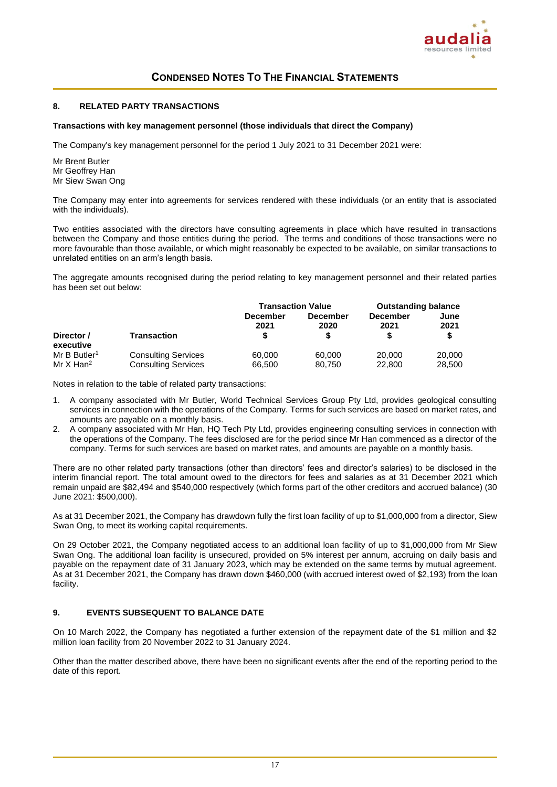

### **8. RELATED PARTY TRANSACTIONS**

#### **Transactions with key management personnel (those individuals that direct the Company)**

The Company's key management personnel for the period 1 July 2021 to 31 December 2021 were:

Mr Brent Butler Mr Geoffrey Han Mr Siew Swan Ong

The Company may enter into agreements for services rendered with these individuals (or an entity that is associated with the individuals).

Two entities associated with the directors have consulting agreements in place which have resulted in transactions between the Company and those entities during the period. The terms and conditions of those transactions were no more favourable than those available, or which might reasonably be expected to be available, on similar transactions to unrelated entities on an arm's length basis.

The aggregate amounts recognised during the period relating to key management personnel and their related parties has been set out below:

|                          |                            | <b>Transaction Value</b> |                         | <b>Outstanding balance</b> |              |
|--------------------------|----------------------------|--------------------------|-------------------------|----------------------------|--------------|
|                          |                            | <b>December</b><br>2021  | <b>December</b><br>2020 | <b>December</b><br>2021    | June<br>2021 |
| Director /<br>executive  | <b>Transaction</b>         | \$                       |                         |                            | \$           |
| Mr B Butler <sup>1</sup> | <b>Consulting Services</b> | 60,000                   | 60,000                  | 20,000                     | 20,000       |
| Mr $X$ Han <sup>2</sup>  | <b>Consulting Services</b> | 66,500                   | 80,750                  | 22,800                     | 28,500       |

Notes in relation to the table of related party transactions:

- 1. A company associated with Mr Butler, World Technical Services Group Pty Ltd, provides geological consulting services in connection with the operations of the Company. Terms for such services are based on market rates, and amounts are payable on a monthly basis.
- 2. A company associated with Mr Han, HQ Tech Pty Ltd, provides engineering consulting services in connection with the operations of the Company. The fees disclosed are for the period since Mr Han commenced as a director of the company. Terms for such services are based on market rates, and amounts are payable on a monthly basis.

There are no other related party transactions (other than directors' fees and director's salaries) to be disclosed in the interim financial report. The total amount owed to the directors for fees and salaries as at 31 December 2021 which remain unpaid are \$82,494 and \$540,000 respectively (which forms part of the other creditors and accrued balance) (30 June 2021: \$500,000).

As at 31 December 2021, the Company has drawdown fully the first loan facility of up to \$1,000,000 from a director, Siew Swan Ong, to meet its working capital requirements.

On 29 October 2021, the Company negotiated access to an additional loan facility of up to \$1,000,000 from Mr Siew Swan Ong. The additional loan facility is unsecured, provided on 5% interest per annum, accruing on daily basis and payable on the repayment date of 31 January 2023, which may be extended on the same terms by mutual agreement. As at 31 December 2021, the Company has drawn down \$460,000 (with accrued interest owed of \$2,193) from the loan facility.

### **9. EVENTS SUBSEQUENT TO BALANCE DATE**

On 10 March 2022, the Company has negotiated a further extension of the repayment date of the \$1 million and \$2 million loan facility from 20 November 2022 to 31 January 2024.

Other than the matter described above, there have been no significant events after the end of the reporting period to the date of this report.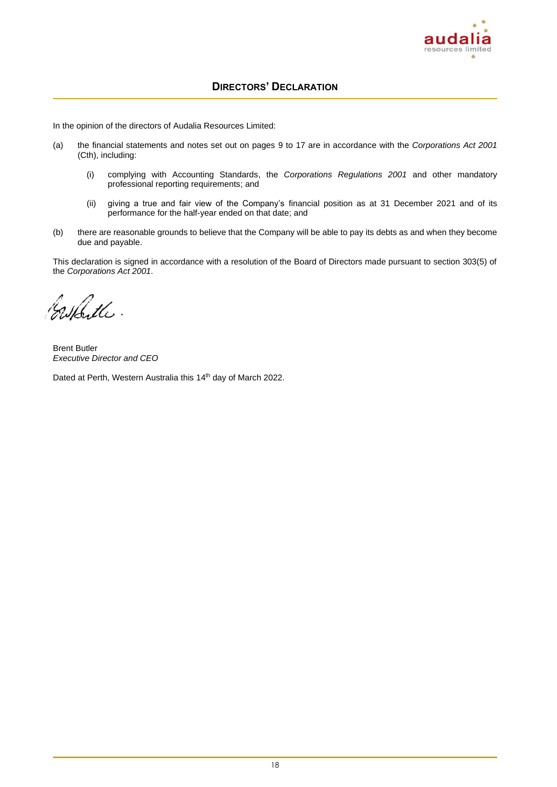

### **DIRECTORS' DECLARATION**

In the opinion of the directors of Audalia Resources Limited:

- (a) the financial statements and notes set out on pages 9 to 17 are in accordance with the *Corporations Act 2001* (Cth), including:
	- (i) complying with Accounting Standards, the *Corporations Regulations 2001* and other mandatory professional reporting requirements; and
	- (ii) giving a true and fair view of the Company's financial position as at 31 December 2021 and of its performance for the half-year ended on that date; and
- (b) there are reasonable grounds to believe that the Company will be able to pay its debts as and when they become due and payable.

This declaration is signed in accordance with a resolution of the Board of Directors made pursuant to section 303(5) of the *Corporations Act 2001*.

Cashfille.

Brent Butler *Executive Director and CEO*

Dated at Perth, Western Australia this 14<sup>th</sup> day of March 2022.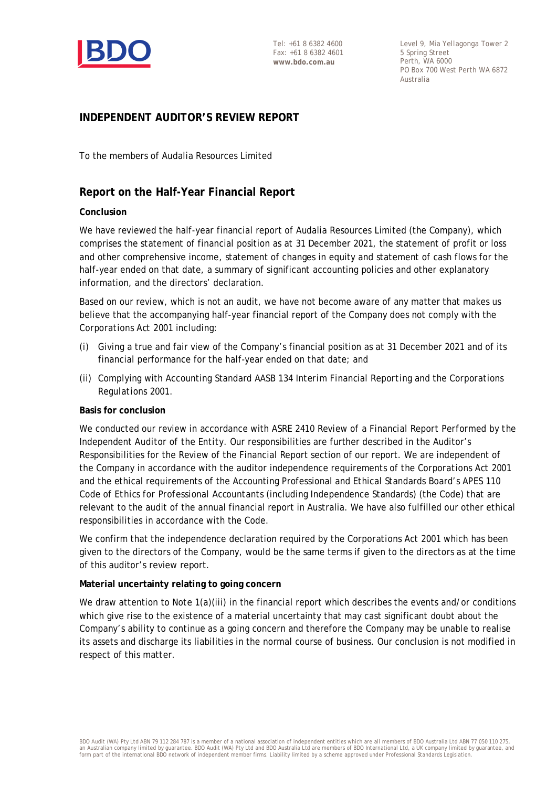

Level 9, Mia Yellagonga Tower 2 5 Spring Street Perth, WA 6000 PO Box 700 West Perth WA 6872 Australia

### **INDEPENDENT AUDITOR'S REVIEW REPORT**

To the members of Audalia Resources Limited

### **Report on the Half-Year Financial Report**

### **Conclusion**

We have reviewed the half-year financial report of Audalia Resources Limited (the Company), which comprises the statement of financial position as at 31 December 2021, the statement of profit or loss and other comprehensive income, statement of changes in equity and statement of cash flows for the half-year ended on that date, a summary of significant accounting policies and other explanatory information, and the directors' declaration.

Based on our review, which is not an audit, we have not become aware of any matter that makes us believe that the accompanying half-year financial report of the Company does not comply with the *Corporations Act 2001* including:

- (i) Giving a true and fair view of the Company's financial position as at 31 December 2021 and of its financial performance for the half-year ended on that date; and
- (ii) Complying with Accounting Standard AASB 134 *Interim Financial Reporting* and the *Corporations Regulations 2001*.

### **Basis for conclusion**

We conducted our review in accordance with ASRE 2410 *Review of a Financial Report Performed by the Independent Auditor of the Entity*. Our responsibilities are further described in the Auditor's Responsibilities for the Review of the Financial Report section of our report. We are independent of the Company in accordance with the auditor independence requirements of the *Corporations Act 2001* and the ethical requirements of the Accounting Professional and Ethical Standards Board's APES 110 *Code of Ethics for Professional Accountants* (including Independence Standards) (the Code) that are relevant to the audit of the annual financial report in Australia. We have also fulfilled our other ethical responsibilities in accordance with the Code.

We confirm that the independence declaration required by the *Corporations Act 2001* which has been given to the directors of the Company, would be the same terms if given to the directors as at the time of this auditor's review report.

### **Material uncertainty relating to going concern**

We draw attention to Note 1(a)(iii) in the financial report which describes the events and/or conditions which give rise to the existence of a material uncertainty that may cast significant doubt about the Company's ability to continue as a going concern and therefore the Company may be unable to realise its assets and discharge its liabilities in the normal course of business. Our conclusion is not modified in respect of this matter.